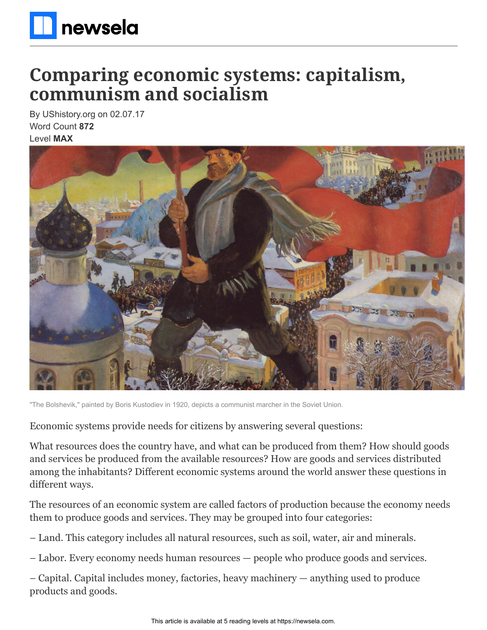

# **Comparing economic systems: capitalism, communism and socialism**

By UShistory.org on 02.07.17 Word Count **872** Level **MAX**



"The Bolshevik," painted by Boris Kustodiev in 1920, depicts a communist marcher in the Soviet Union.

Economic systems provide needs for citizens by answering several questions:

What resources does the country have, and what can be produced from them? How should goods and services be produced from the available resources? How are goods and services distributed among the inhabitants? Different economic systems around the world answer these questions in different ways.

The resources of an economic system are called factors of production because the economy needs them to produce goods and services. They may be grouped into four categories:

– Land. This category includes all natural resources, such as soil, water, air and minerals.

– Labor. Every economy needs human resources — people who produce goods and services.

– Capital. Capital includes money, factories, heavy machinery — anything used to produce products and goods.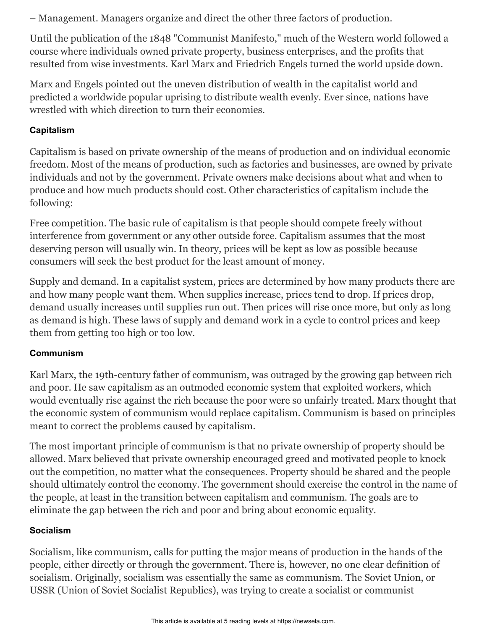– Management. Managers organize and direct the other three factors of production.

Until the publication of the 1848 "Communist Manifesto," much of the Western world followed a course where individuals owned private property, business enterprises, and the profits that resulted from wise investments. Karl Marx and Friedrich Engels turned the world upside down.

Marx and Engels pointed out the uneven distribution of wealth in the capitalist world and predicted a worldwide popular uprising to distribute wealth evenly. Ever since, nations have wrestled with which direction to turn their economies.

### **Capitalism**

Capitalism is based on private ownership of the means of production and on individual economic freedom. Most of the means of production, such as factories and businesses, are owned by private individuals and not by the government. Private owners make decisions about what and when to produce and how much products should cost. Other characteristics of capitalism include the following:

Free competition. The basic rule of capitalism is that people should compete freely without interference from government or any other outside force. Capitalism assumes that the most deserving person will usually win. In theory, prices will be kept as low as possible because consumers will seek the best product for the least amount of money.

Supply and demand. In a capitalist system, prices are determined by how many products there are and how many people want them. When supplies increase, prices tend to drop. If prices drop, demand usually increases until supplies run out. Then prices will rise once more, but only as long as demand is high. These laws of supply and demand work in a cycle to control prices and keep them from getting too high or too low.

## **Communism**

Karl Marx, the 19th-century father of communism, was outraged by the growing gap between rich and poor. He saw capitalism as an outmoded economic system that exploited workers, which would eventually rise against the rich because the poor were so unfairly treated. Marx thought that the economic system of communism would replace capitalism. Communism is based on principles meant to correct the problems caused by capitalism.

The most important principle of communism is that no private ownership of property should be allowed. Marx believed that private ownership encouraged greed and motivated people to knock out the competition, no matter what the consequences. Property should be shared and the people should ultimately control the economy. The government should exercise the control in the name of the people, at least in the transition between capitalism and communism. The goals are to eliminate the gap between the rich and poor and bring about economic equality.

#### **Socialism**

Socialism, like communism, calls for putting the major means of production in the hands of the people, either directly or through the government. There is, however, no one clear definition of socialism. Originally, socialism was essentially the same as communism. The Soviet Union, or USSR (Union of Soviet Socialist Republics), was trying to create a socialist or communist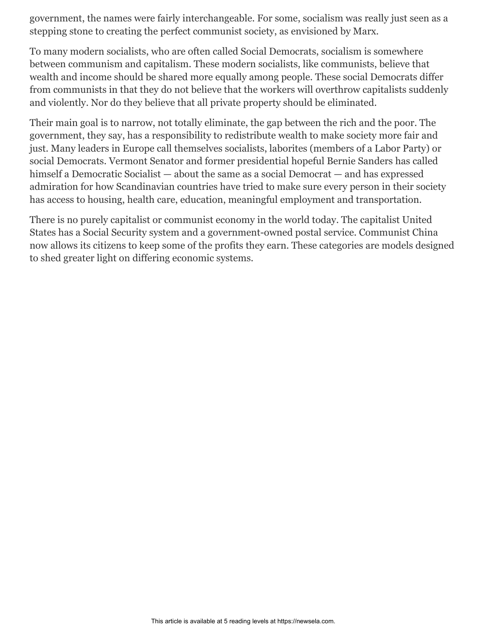government, the names were fairly interchangeable. For some, socialism was really just seen as a stepping stone to creating the perfect communist society, as envisioned by Marx.

To many modern socialists, who are often called Social Democrats, socialism is somewhere between communism and capitalism. These modern socialists, like communists, believe that wealth and income should be shared more equally among people. These social Democrats differ from communists in that they do not believe that the workers will overthrow capitalists suddenly and violently. Nor do they believe that all private property should be eliminated.

Their main goal is to narrow, not totally eliminate, the gap between the rich and the poor. The government, they say, has a responsibility to redistribute wealth to make society more fair and just. Many leaders in Europe call themselves socialists, laborites (members of a Labor Party) or social Democrats. Vermont Senator and former presidential hopeful Bernie Sanders has called himself a Democratic Socialist — about the same as a social Democrat — and has expressed admiration for how Scandinavian countries have tried to make sure every person in their society has access to housing, health care, education, meaningful employment and transportation.

There is no purely capitalist or communist economy in the world today. The capitalist United States has a Social Security system and a government-owned postal service. Communist China now allows its citizens to keep some of the profits they earn. These categories are models designed to shed greater light on differing economic systems.